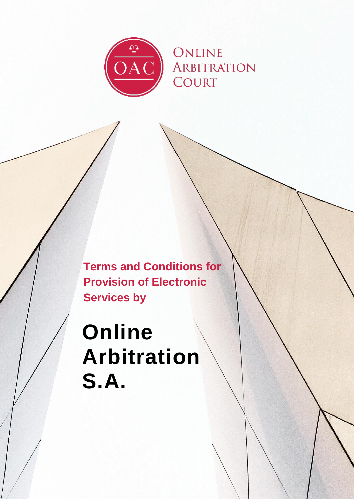

**Terms and Conditions for Provision of Electronic Services by**

# **Online Arbitration S.A.**

0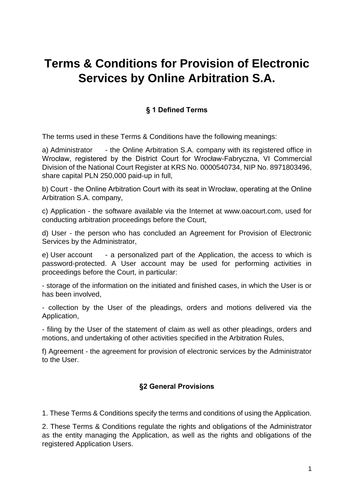# **Terms & Conditions for Provision of Electronic Services by Online Arbitration S.A.**

#### **§ 1 Defined Terms**

The terms used in these Terms & Conditions have the following meanings:

a) Administrator - the Online Arbitration S.A. company with its registered office in Wrocław, registered by the District Court for Wrocław-Fabryczna, VI Commercial Division of the National Court Register at KRS No. 0000540734, NIP No. 8971803496, share capital PLN 250,000 paid-up in full,

b) Court - the Online Arbitration Court with its seat in Wrocław, operating at the Online Arbitration S.A. company,

c) Application - the software available via the Internet at www.oacourt.com, used for conducting arbitration proceedings before the Court,

d) User - the person who has concluded an Agreement for Provision of Electronic Services by the Administrator,

e) User account - a personalized part of the Application, the access to which is password-protected. A User account may be used for performing activities in proceedings before the Court, in particular:

- storage of the information on the initiated and finished cases, in which the User is or has been involved,

- collection by the User of the pleadings, orders and motions delivered via the Application,

- filing by the User of the statement of claim as well as other pleadings, orders and motions, and undertaking of other activities specified in the Arbitration Rules,

f) Agreement - the agreement for provision of electronic services by the Administrator to the User.

#### **§2 General Provisions**

1. These Terms & Conditions specify the terms and conditions of using the Application.

2. These Terms & Conditions regulate the rights and obligations of the Administrator as the entity managing the Application, as well as the rights and obligations of the registered Application Users.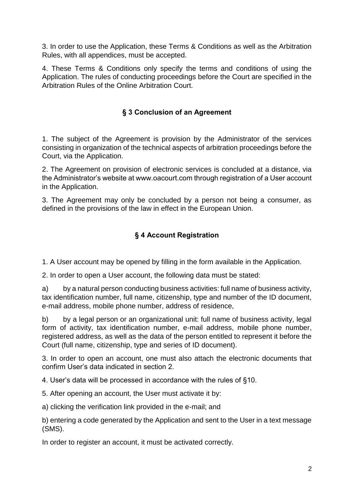3. In order to use the Application, these Terms & Conditions as well as the Arbitration Rules, with all appendices, must be accepted.

4. These Terms & Conditions only specify the terms and conditions of using the Application. The rules of conducting proceedings before the Court are specified in the Arbitration Rules of the Online Arbitration Court.

#### **§ 3 Conclusion of an Agreement**

1. The subject of the Agreement is provision by the Administrator of the services consisting in organization of the technical aspects of arbitration proceedings before the Court, via the Application.

2. The Agreement on provision of electronic services is concluded at a distance, via the Administrator's website at www.oacourt.com through registration of a User account in the Application.

3. The Agreement may only be concluded by a person not being a consumer, as defined in the provisions of the law in effect in the European Union.

#### **§ 4 Account Registration**

1. A User account may be opened by filling in the form available in the Application.

2. In order to open a User account, the following data must be stated:

a) by a natural person conducting business activities: full name of business activity, tax identification number, full name, citizenship, type and number of the ID document, e-mail address, mobile phone number, address of residence,

b) by a legal person or an organizational unit: full name of business activity, legal form of activity, tax identification number, e-mail address, mobile phone number, registered address, as well as the data of the person entitled to represent it before the Court (full name, citizenship, type and series of ID document).

3. In order to open an account, one must also attach the electronic documents that confirm User's data indicated in section 2.

4. User's data will be processed in accordance with the rules of §10.

5. After opening an account, the User must activate it by:

a) clicking the verification link provided in the e-mail; and

b) entering a code generated by the Application and sent to the User in a text message (SMS).

In order to register an account, it must be activated correctly.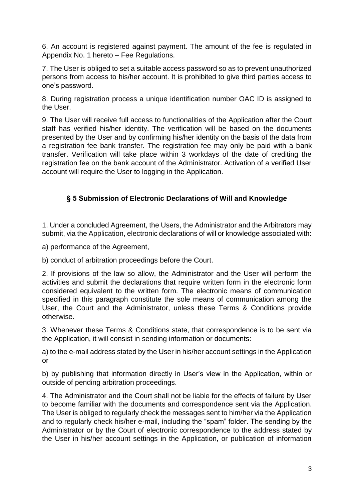6. An account is registered against payment. The amount of the fee is regulated in Appendix No. 1 hereto – Fee Regulations.

7. The User is obliged to set a suitable access password so as to prevent unauthorized persons from access to his/her account. It is prohibited to give third parties access to one's password.

8. During registration process a unique identification number OAC ID is assigned to the User.

9. The User will receive full access to functionalities of the Application after the Court staff has verified his/her identity. The verification will be based on the documents presented by the User and by confirming his/her identity on the basis of the data from a registration fee bank transfer. The registration fee may only be paid with a bank transfer. Verification will take place within 3 workdays of the date of crediting the registration fee on the bank account of the Administrator. Activation of a verified User account will require the User to logging in the Application.

## **§ 5 Submission of Electronic Declarations of Will and Knowledge**

1. Under a concluded Agreement, the Users, the Administrator and the Arbitrators may submit, via the Application, electronic declarations of will or knowledge associated with:

a) performance of the Agreement,

b) conduct of arbitration proceedings before the Court.

2. If provisions of the law so allow, the Administrator and the User will perform the activities and submit the declarations that require written form in the electronic form considered equivalent to the written form. The electronic means of communication specified in this paragraph constitute the sole means of communication among the User, the Court and the Administrator, unless these Terms & Conditions provide otherwise.

3. Whenever these Terms & Conditions state, that correspondence is to be sent via the Application, it will consist in sending information or documents:

a) to the e-mail address stated by the User in his/her account settings in the Application or

b) by publishing that information directly in User's view in the Application, within or outside of pending arbitration proceedings.

4. The Administrator and the Court shall not be liable for the effects of failure by User to become familiar with the documents and correspondence sent via the Application. The User is obliged to regularly check the messages sent to him/her via the Application and to regularly check his/her e-mail, including the "spam" folder. The sending by the Administrator or by the Court of electronic correspondence to the address stated by the User in his/her account settings in the Application, or publication of information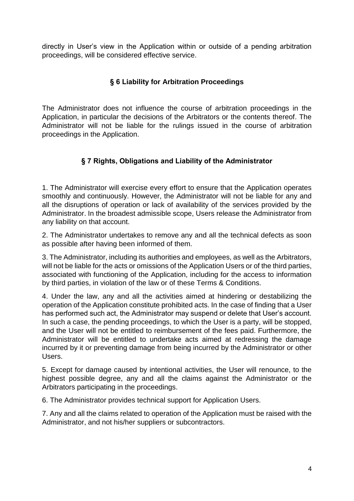directly in User's view in the Application within or outside of a pending arbitration proceedings, will be considered effective service.

#### **§ 6 Liability for Arbitration Proceedings**

The Administrator does not influence the course of arbitration proceedings in the Application, in particular the decisions of the Arbitrators or the contents thereof. The Administrator will not be liable for the rulings issued in the course of arbitration proceedings in the Application.

## **§ 7 Rights, Obligations and Liability of the Administrator**

1. The Administrator will exercise every effort to ensure that the Application operates smoothly and continuously. However, the Administrator will not be liable for any and all the disruptions of operation or lack of availability of the services provided by the Administrator. In the broadest admissible scope, Users release the Administrator from any liability on that account.

2. The Administrator undertakes to remove any and all the technical defects as soon as possible after having been informed of them.

3. The Administrator, including its authorities and employees, as well as the Arbitrators, will not be liable for the acts or omissions of the Application Users or of the third parties, associated with functioning of the Application, including for the access to information by third parties, in violation of the law or of these Terms & Conditions.

4. Under the law, any and all the activities aimed at hindering or destabilizing the operation of the Application constitute prohibited acts. In the case of finding that a User has performed such act, the Administrator may suspend or delete that User's account. In such a case, the pending proceedings, to which the User is a party, will be stopped, and the User will not be entitled to reimbursement of the fees paid. Furthermore, the Administrator will be entitled to undertake acts aimed at redressing the damage incurred by it or preventing damage from being incurred by the Administrator or other Users.

5. Except for damage caused by intentional activities, the User will renounce, to the highest possible degree, any and all the claims against the Administrator or the Arbitrators participating in the proceedings.

6. The Administrator provides technical support for Application Users.

7. Any and all the claims related to operation of the Application must be raised with the Administrator, and not his/her suppliers or subcontractors.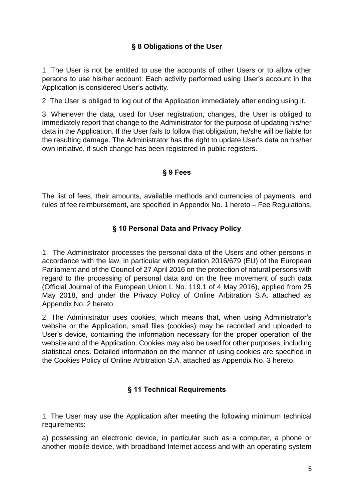#### **§ 8 Obligations of the User**

1. The User is not be entitled to use the accounts of other Users or to allow other persons to use his/her account. Each activity performed using User's account in the Application is considered User's activity.

2. The User is obliged to log out of the Application immediately after ending using it.

3. Whenever the data, used for User registration, changes, the User is obliged to immediately report that change to the Administrator for the purpose of updating his/her data in the Application. If the User fails to follow that obligation, he/she will be liable for the resulting damage. The Administrator has the right to update User's data on his/her own initiative, if such change has been registered in public registers.

#### **§ 9 Fees**

The list of fees, their amounts, available methods and currencies of payments, and rules of fee reimbursement, are specified in Appendix No. 1 hereto – Fee Regulations.

#### **§ 10 Personal Data and Privacy Policy**

1. The Administrator processes the personal data of the Users and other persons in accordance with the law, in particular with regulation 2016/679 (EU) of the European Parliament and of the Council of 27 April 2016 on the protection of natural persons with regard to the processing of personal data and on the free movement of such data (Official Journal of the European Union L No. 119.1 of 4 May 2016), applied from 25 May 2018, and under the Privacy Policy of Online Arbitration S.A. attached as Appendix No. 2 hereto.

2. The Administrator uses cookies, which means that, when using Administrator's website or the Application, small files (cookies) may be recorded and uploaded to User's device, containing the information necessary for the proper operation of the website and of the Application. Cookies may also be used for other purposes, including statistical ones. Detailed information on the manner of using cookies are specified in the Cookies Policy of Online Arbitration S.A. attached as Appendix No. 3 hereto.

#### **§ 11 Technical Requirements**

1. The User may use the Application after meeting the following minimum technical requirements:

a) possessing an electronic device, in particular such as a computer, a phone or another mobile device, with broadband Internet access and with an operating system